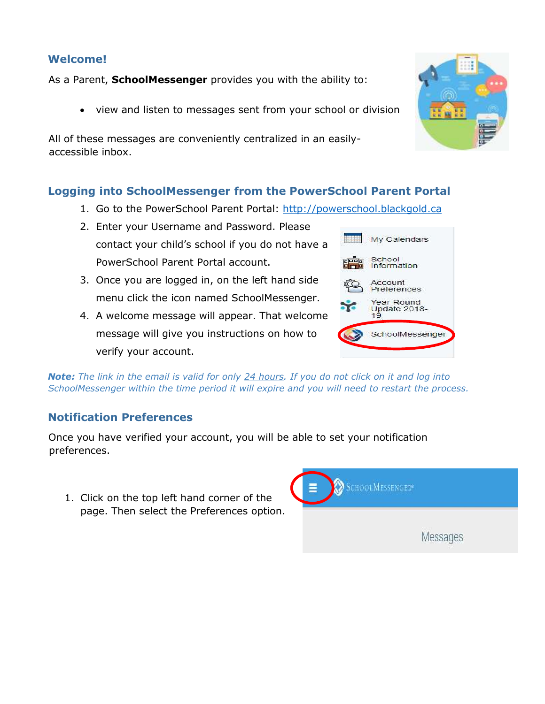## **Welcome!**

As a Parent, **SchoolMessenger** provides you with the ability to:

view and listen to messages sent from your school or division

All of these messages are conveniently centralized in an easilyaccessible inbox.

## **Logging into SchoolMessenger from the PowerSchool Parent Portal**

- 1. Go to the PowerSchool Parent Portal: [http://powerschool.blackgold.ca](http://powerschool.blackgold.ca/)
- 2. Enter your Username and Password. Please contact your child's school if you do not have a PowerSchool Parent Portal account.
- 3. Once you are logged in, on the left hand side menu click the icon named SchoolMessenger.
- 4. A welcome message will appear. That welcome message will give you instructions on how to verify your account.

*Note: The link in the email is valid for only 24 hours. If you do not click on it and log into SchoolMessenger within the time period it will expire and you will need to restart the process.*

## **Notification Preferences**

Once you have verified your account, you will be able to set your notification preferences.

1. Click on the top left hand corner of the page. Then select the Preferences option.





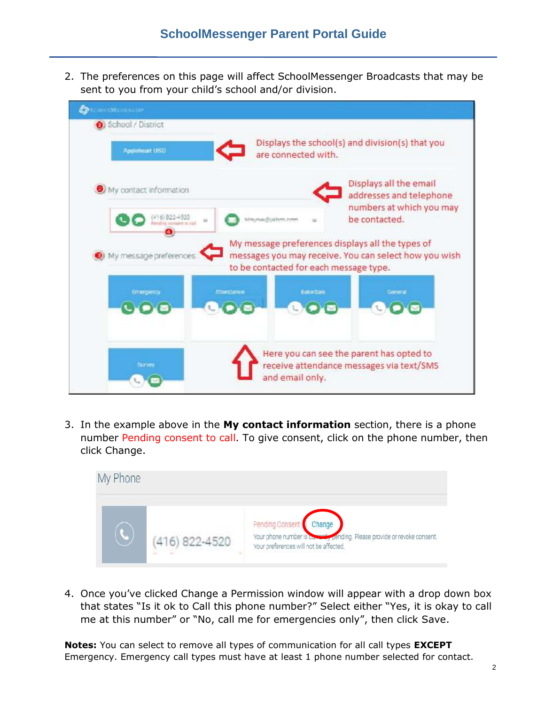2. The preferences on this page will affect SchoolMessenger Broadcasts that may be sent to you from your child's school and/or division.



3. In the example above in the **My contact information** section, there is a phone number Pending consent to call. To give consent, click on the phone number, then click Change.



4. Once you've clicked Change a Permission window will appear with a drop down box that states "Is it ok to Call this phone number?" Select either "Yes, it is okay to call me at this number" or "No, call me for emergencies only", then click Save.

**Notes:** You can select to remove all types of communication for all call types **EXCEPT** Emergency. Emergency call types must have at least 1 phone number selected for contact.